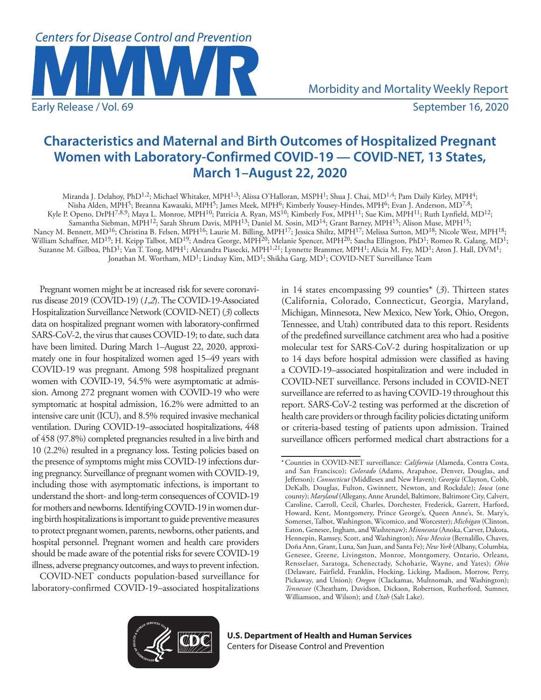

Morbidity and Mortality Weekly Report

# **Characteristics and Maternal and Birth Outcomes of Hospitalized Pregnant Women with Laboratory-Confirmed COVID-19 — COVID-NET, 13 States, March 1–August 22, 2020**

Miranda J. Delahoy, PhD1,2; Michael Whitaker, MPH1,3; Alissa O'Halloran, MSPH1; Shua J. Chai, MD1,4; Pam Daily Kirley, MPH4; Nisha Alden, MPH5; Breanna Kawasaki, MPH5; James Meek, MPH6; Kimberly Yousey-Hindes, MPH6; Evan J. Anderson, MD7,8; Kyle P. Openo, DrPH<sup>7,8,9</sup>; Maya L. Monroe, MPH<sup>10</sup>; Patricia A. Ryan, MS<sup>10</sup>; Kimberly Fox, MPH<sup>11</sup>; Sue Kim, MPH<sup>11</sup>; Ruth Lynfield, MD<sup>12</sup>; Samantha Siebman, MPH12; Sarah Shrum Davis, MPH13; Daniel M. Sosin, MD14; Grant Barney, MPH15; Alison Muse, MPH15; Nancy M. Bennett, MD<sup>16</sup>; Christina B. Felsen, MPH<sup>16</sup>; Laurie M. Billing, MPH<sup>17</sup>; Jessica Shiltz, MPH<sup>17</sup>; Melissa Sutton, MD<sup>18</sup>; Nicole West, MPH<sup>18</sup>;

William Schaffner, MD<sup>19</sup>; H. Keipp Talbot, MD<sup>19</sup>; Andrea George, MPH<sup>20</sup>; Melanie Spencer, MPH<sup>20</sup>; Sascha Ellington, PhD<sup>1</sup>; Romeo R. Galang, MD<sup>1</sup>;

Suzanne M. Gilboa, PhD<sup>1</sup>; Van T. Tong, MPH<sup>1</sup>; Alexandra Piasecki, MPH<sup>1,21</sup>; Lynnette Brammer, MPH<sup>1</sup>; Alicia M. Fry, MD<sup>1</sup>; Aron J. Hall, DVM<sup>1</sup>;

Jonathan M. Wortham, MD<sup>1</sup>; Lindsay Kim, MD<sup>1</sup>; Shikha Garg, MD<sup>1</sup>; COVID-NET Surveillance Team

Pregnant women might be at increased risk for severe coronavirus disease 2019 (COVID-19) (*1*,*2*). The COVID-19-Associated Hospitalization Surveillance Network (COVID-NET) (*3*) collects data on hospitalized pregnant women with laboratory-confirmed SARS-CoV-2, the virus that causes COVID-19; to date, such data have been limited. During March 1–August 22, 2020, approximately one in four hospitalized women aged 15–49 years with COVID-19 was pregnant. Among 598 hospitalized pregnant women with COVID-19, 54.5% were asymptomatic at admission. Among 272 pregnant women with COVID-19 who were symptomatic at hospital admission, 16.2% were admitted to an intensive care unit (ICU), and 8.5% required invasive mechanical ventilation. During COVID-19–associated hospitalizations, 448 of 458 (97.8%) completed pregnancies resulted in a live birth and 10 (2.2%) resulted in a pregnancy loss. Testing policies based on the presence of symptoms might miss COVID-19 infections during pregnancy. Surveillance of pregnant women with COVID-19, including those with asymptomatic infections, is important to understand the short- and long-term consequences of COVID-19 for mothers and newborns. Identifying COVID-19 in women during birth hospitalizations is important to guide preventive measures to protect pregnant women, parents, newborns, other patients, and hospital personnel. Pregnant women and health care providers should be made aware of the potential risks for severe COVID-19 illness, adverse pregnancy outcomes, and ways to prevent infection.

COVID-NET conducts population-based surveillance for laboratory-confirmed COVID-19–associated hospitalizations in 14 states encompassing 99 counties\* (*3*). Thirteen states (California, Colorado, Connecticut, Georgia, Maryland, Michigan, Minnesota, New Mexico, New York, Ohio, Oregon, Tennessee, and Utah) contributed data to this report. Residents of the predefined surveillance catchment area who had a positive molecular test for SARS-CoV-2 during hospitalization or up to 14 days before hospital admission were classified as having a COVID-19–associated hospitalization and were included in COVID-NET surveillance. Persons included in COVID-NET surveillance are referred to as having COVID-19 throughout this report. SARS-CoV-2 testing was performed at the discretion of health care providers or through facility policies dictating uniform or criteria-based testing of patients upon admission. Trained surveillance officers performed medical chart abstractions for a



**U.S. Department of Health and Human Services** Centers for Disease Control and Prevention

<sup>\*</sup>Counties in COVID-NET surveillance: *California* (Alameda, Contra Costa, and San Francisco); *Colorado* (Adams, Arapahoe, Denver, Douglas, and Jefferson); *Connecticut* (Middlesex and New Haven); *Georgia* (Clayton, Cobb, DeKalb, Douglas, Fulton, Gwinnett, Newton, and Rockdale); *Iowa* (one county); *Maryland* (Allegany, Anne Arundel, Baltimore, Baltimore City, Calvert, Caroline, Carroll, Cecil, Charles, Dorchester, Frederick, Garrett, Harford, Howard, Kent, Montgomery, Prince George's, Queen Anne's, St. Mary's, Somerset, Talbot, Washington, Wicomico, and Worcester); *Michigan* (Clinton, Eaton, Genesee, Ingham, and Washtenaw); *Minnesota* (Anoka, Carver, Dakota, Hennepin, Ramsey, Scott, and Washington); *New Mexico* (Bernalillo, Chaves, Doña Ann, Grant, Luna, San Juan, and Santa Fe); *New York* (Albany, Columbia, Genesee, Greene, Livingston, Monroe, Montgomery, Ontario, Orleans, Rensselaer, Saratoga, Schenectady, Schoharie, Wayne, and Yates); *Ohio* (Delaware, Fairfield, Franklin, Hocking, Licking, Madison, Morrow, Perry, Pickaway, and Union); *Oregon* (Clackamas, Multnomah, and Washington); *Tennessee* (Cheatham, Davidson, Dickson, Robertson, Rutherford, Sumner, Williamson, and Wilson); and *Utah* (Salt Lake).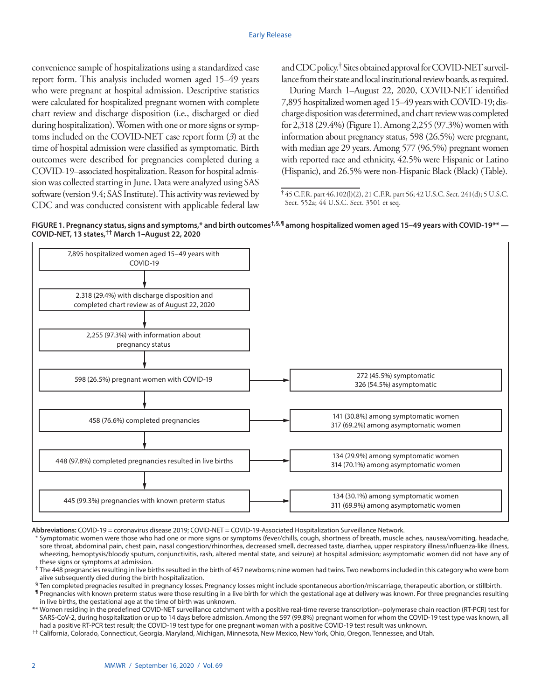convenience sample of hospitalizations using a standardized case report form. This analysis included women aged 15–49 years who were pregnant at hospital admission. Descriptive statistics were calculated for hospitalized pregnant women with complete chart review and discharge disposition (i.e., discharged or died during hospitalization). Women with one or more signs or symptoms included on the COVID-NET case report form (*3*) at the time of hospital admission were classified as symptomatic. Birth outcomes were described for pregnancies completed during a COVID-19–associated hospitalization. Reason for hospital admission was collected starting in June. Data were analyzed using SAS software (version 9.4; SAS Institute). This activity was reviewed by CDC and was conducted consistent with applicable federal law and CDC policy.<sup>†</sup> Sites obtained approval for COVID-NET surveillance from their state and local institutional review boards, as required.

During March 1–August 22, 2020, COVID-NET identified 7,895 hospitalized women aged 15–49 years with COVID-19; discharge disposition was determined, and chart review was completed for 2,318 (29.4%) (Figure 1). Among 2,255 (97.3%) women with information about pregnancy status, 598 (26.5%) were pregnant, with median age 29 years. Among 577 (96.5%) pregnant women with reported race and ethnicity, 42.5% were Hispanic or Latino (Hispanic), and 26.5% were non-Hispanic Black (Black) (Table).

FIGURE 1. Pregnancy status, signs and symptoms,\* and birth outcomes<sup>†,§,¶</sup> among hospitalized women aged 15–49 years with COVID-19\*\* — **COVID-NET, 13 states,†† March 1–August 22, 2020**



**Abbreviations:** COVID-19 = coronavirus disease 2019; COVID-NET = COVID-19-Associated Hospitalization Surveillance Network.

\* Symptomatic women were those who had one or more signs or symptoms (fever/chills, cough, shortness of breath, muscle aches, nausea/vomiting, headache, sore throat, abdominal pain, chest pain, nasal congestion/rhinorrhea, decreased smell, decreased taste, diarrhea, upper respiratory illness/influenza-like illness, wheezing, hemoptysis/bloody sputum, conjunctivitis, rash, altered mental state, and seizure) at hospital admission; asymptomatic women did not have any of these signs or symptoms at admission.

 $^{\dagger}$  The 448 pregnancies resulting in live births resulted in the birth of 457 newborns; nine women had twins. Two newborns included in this category who were born alive subsequently died during the birth hospitalization.

§ Ten completed pregnacies resulted in pregnancy losses. Pregnancy losses might include spontaneous abortion/miscarriage, therapeutic abortion, or stillbirth.

¶ Pregnancies with known preterm status were those resulting in a live birth for which the gestational age at delivery was known. For three pregnancies resulting in live births, the gestational age at the time of birth was unknown.

\*\* Women residing in the predefined COVID-NET surveillance catchment with a positive real-time reverse transcription–polymerase chain reaction (RT-PCR) test for SARS-CoV-2, during hospitalization or up to 14 days before admission. Among the 597 (99.8%) pregnant women for whom the COVID-19 test type was known, all had a positive RT-PCR test result; the COVID-19 test type for one pregnant woman with a positive COVID-19 test result was unknown.

†† California, Colorado, Connecticut, Georgia, Maryland, Michigan, Minnesota, New Mexico, New York, Ohio, Oregon, Tennessee, and Utah.

<sup>†</sup> 45 C.F.R. part 46.102(l)(2), 21 C.F.R. part 56; 42 U.S.C. Sect. 241(d); 5 U.S.C. Sect. 552a; 44 U.S.C. Sect. 3501 et seq.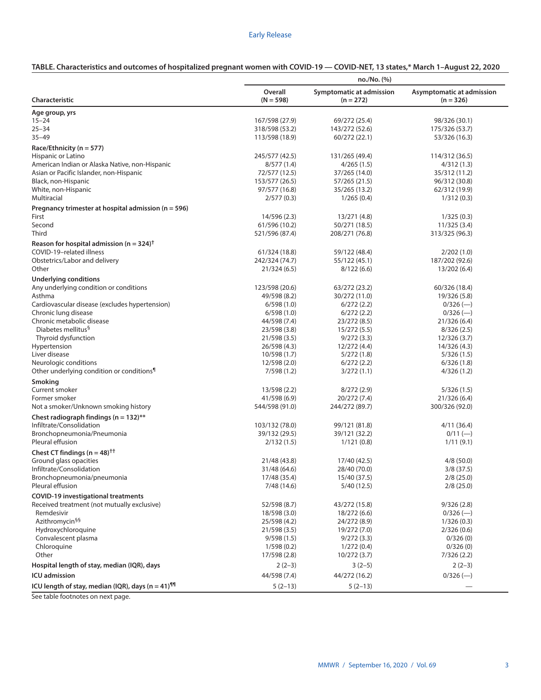# Early Release

|  | TABLE. Characteristics and outcomes of hospitalized pregnant women with COVID-19 - COVID-NET, 13 states,* March 1-August 22, 2020 |
|--|-----------------------------------------------------------------------------------------------------------------------------------|
|  |                                                                                                                                   |

|                                                                  | no./No. (%)            |                                         |                                          |  |
|------------------------------------------------------------------|------------------------|-----------------------------------------|------------------------------------------|--|
| Characteristic                                                   | Overall<br>$(N = 598)$ | Symptomatic at admission<br>$(n = 272)$ | Asymptomatic at admission<br>$(n = 326)$ |  |
| Age group, yrs                                                   |                        |                                         |                                          |  |
| $15 - 24$                                                        | 167/598 (27.9)         | 69/272 (25.4)                           | 98/326 (30.1)                            |  |
| $25 - 34$                                                        | 318/598 (53.2)         | 143/272 (52.6)                          | 175/326 (53.7)                           |  |
| $35 - 49$                                                        | 113/598 (18.9)         | 60/272 (22.1)                           | 53/326 (16.3)                            |  |
| Race/Ethnicity (n = 577)                                         |                        |                                         |                                          |  |
| Hispanic or Latino                                               | 245/577 (42.5)         | 131/265 (49.4)                          | 114/312 (36.5)                           |  |
| American Indian or Alaska Native, non-Hispanic                   | 8/577(1.4)             | 4/265(1.5)                              | 4/312(1.3)                               |  |
| Asian or Pacific Islander, non-Hispanic                          | 72/577 (12.5)          | 37/265 (14.0)                           | 35/312 (11.2)                            |  |
| Black, non-Hispanic                                              | 153/577 (26.5)         | 57/265 (21.5)                           | 96/312 (30.8)                            |  |
| White, non-Hispanic                                              | 97/577 (16.8)          | 35/265 (13.2)                           | 62/312 (19.9)                            |  |
| Multiracial                                                      | 2/577(0.3)             | 1/265(0.4)                              | 1/312(0.3)                               |  |
|                                                                  |                        |                                         |                                          |  |
| Pregnancy trimester at hospital admission ( $n = 596$ )<br>First | 14/596 (2.3)           | 13/271 (4.8)                            | 1/325(0.3)                               |  |
| Second                                                           | 61/596 (10.2)          | 50/271 (18.5)                           | 11/325 (3.4)                             |  |
| Third                                                            | 521/596 (87.4)         | 208/271 (76.8)                          | 313/325 (96.3)                           |  |
|                                                                  |                        |                                         |                                          |  |
| Reason for hospital admission (n = 324) <sup>†</sup>             |                        |                                         |                                          |  |
| COVID-19-related illness                                         | 61/324 (18.8)          | 59/122 (48.4)                           | 2/202(1.0)                               |  |
| Obstetrics/Labor and delivery                                    | 242/324 (74.7)         | 55/122 (45.1)                           | 187/202 (92.6)                           |  |
| Other                                                            | 21/324(6.5)            | 8/122(6.6)                              | 13/202 (6.4)                             |  |
| <b>Underlying conditions</b>                                     |                        |                                         |                                          |  |
| Any underlying condition or conditions                           | 123/598 (20.6)         | 63/272 (23.2)                           | 60/326 (18.4)                            |  |
| Asthma                                                           | 49/598 (8.2)           | 30/272 (11.0)                           | 19/326 (5.8)                             |  |
| Cardiovascular disease (excludes hypertension)                   | 6/598(1.0)             | 6/272(2.2)                              | $0/326$ (-                               |  |
| Chronic lung disease                                             | 6/598(1.0)             | 6/272(2.2)                              | $0/326$ (-)                              |  |
| Chronic metabolic disease                                        | 44/598 (7.4)           | 23/272 (8.5)                            | 21/326 (6.4)                             |  |
| Diabetes mellitus <sup>§</sup>                                   | 23/598 (3.8)           | 15/272 (5.5)                            | 8/326(2.5)                               |  |
| Thyroid dysfunction                                              | 21/598 (3.5)           | 9/272(3.3)                              | 12/326(3.7)                              |  |
| Hypertension                                                     | 26/598 (4.3)           | 12/272 (4.4)                            | 14/326 (4.3)                             |  |
| Liver disease                                                    | 10/598 (1.7)           | 5/272(1.8)                              | 5/326(1.5)                               |  |
| Neurologic conditions                                            | 12/598 (2.0)           | 6/272(2.2)                              | 6/326(1.8)                               |  |
| Other underlying condition or conditions <sup>1</sup>            | 7/598(1.2)             | 3/272(1.1)                              | 4/326(1.2)                               |  |
| Smoking                                                          |                        |                                         |                                          |  |
| Current smoker                                                   | 13/598 (2.2)           | 8/272(2.9)                              | 5/326(1.5)                               |  |
| Former smoker                                                    | 41/598 (6.9)           | 20/272 (7.4)                            | 21/326 (6.4)                             |  |
| Not a smoker/Unknown smoking history                             | 544/598 (91.0)         | 244/272 (89.7)                          | 300/326 (92.0)                           |  |
| Chest radiograph findings ( $n = 132$ )**                        |                        |                                         |                                          |  |
| Infiltrate/Consolidation                                         | 103/132 (78.0)         | 99/121 (81.8)                           | 4/11(36.4)                               |  |
| Bronchopneumonia/Pneumonia                                       | 39/132 (29.5)          | 39/121 (32.2)                           | $0/11$ (-)                               |  |
| Pleural effusion                                                 | 2/132(1.5)             | 1/121(0.8)                              | 1/11(9.1)                                |  |
| Chest CT findings ( $n = 48$ ) <sup>††</sup>                     |                        |                                         |                                          |  |
| Ground glass opacities                                           | 21/48 (43.8)           | 17/40 (42.5)                            | 4/8(50.0)                                |  |
| Infiltrate/Consolidation                                         | 31/48 (64.6)           | 28/40 (70.0)                            | 3/8(37.5)                                |  |
| Bronchopneumonia/pneumonia                                       | 17/48 (35.4)           | 15/40 (37.5)                            | 2/8(25.0)                                |  |
| Pleural effusion                                                 | 7/48 (14.6)            | 5/40 (12.5)                             | 2/8(25.0)                                |  |
| <b>COVID-19 investigational treatments</b>                       |                        |                                         |                                          |  |
| Received treatment (not mutually exclusive)                      | 52/598 (8.7)           | 43/272 (15.8)                           | 9/326(2.8)                               |  |
| Remdesivir                                                       | 18/598 (3.0)           | 18/272 (6.6)                            | $0/326$ (-)                              |  |
| Azithromycin <sup>§§</sup>                                       | 25/598 (4.2)           | 24/272 (8.9)                            | 1/326(0.3)                               |  |
| Hydroxychloroquine                                               | 21/598 (3.5)           | 19/272 (7.0)                            | 2/326(0.6)                               |  |
| Convalescent plasma                                              | 9/598(1.5)             | 9/272(3.3)                              | 0/326(0)                                 |  |
| Chloroquine                                                      | 1/598(0.2)             | 1/272(0.4)                              | 0/326(0)                                 |  |
| Other                                                            | 17/598 (2.8)           | 10/272(3.7)                             | 7/326(2.2)                               |  |
| Hospital length of stay, median (IQR), days                      | $2(2-3)$               | $3(2-5)$                                | $2(2-3)$                                 |  |
| <b>ICU</b> admission                                             | 44/598 (7.4)           | 44/272 (16.2)                           | $0/326$ (-)                              |  |
| ICU length of stay, median (IQR), days $(n = 41)^{1/1}$          | $5(2-13)$              | $5(2-13)$                               |                                          |  |
|                                                                  |                        |                                         |                                          |  |

See table footnotes on next page.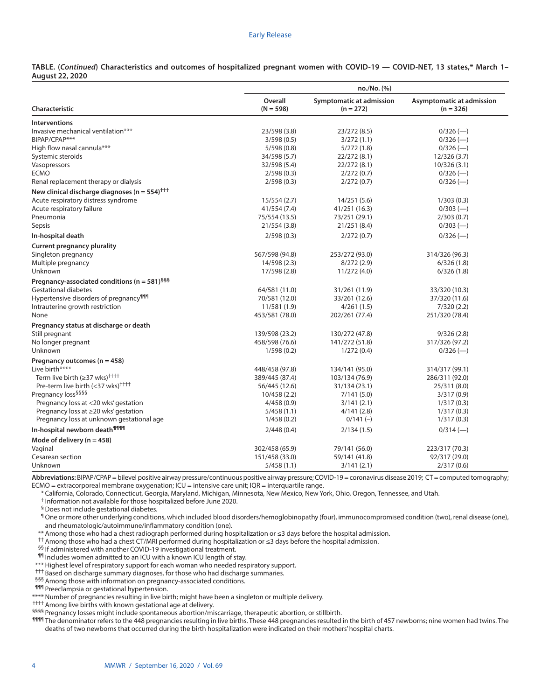#### Early Release

|                        | TABLE. (Continued) Characteristics and outcomes of hospitalized pregnant women with COVID-19 - COVID-NET, 13 states,* March 1- |  |  |  |  |
|------------------------|--------------------------------------------------------------------------------------------------------------------------------|--|--|--|--|
| <b>August 22, 2020</b> |                                                                                                                                |  |  |  |  |

|                                                                 | no./No. (%)            |                                         |                                          |
|-----------------------------------------------------------------|------------------------|-----------------------------------------|------------------------------------------|
| <b>Characteristic</b>                                           | Overall<br>$(N = 598)$ | Symptomatic at admission<br>$(n = 272)$ | Asymptomatic at admission<br>$(n = 326)$ |
| <b>Interventions</b>                                            |                        |                                         |                                          |
| Invasive mechanical ventilation***                              | 23/598 (3.8)           | 23/272 (8.5)                            | $0/326$ (-)                              |
| BIPAP/CPAP***                                                   | 3/598(0.5)             | 3/272(1.1)                              | $0/326$ (-)                              |
| High flow nasal cannula***                                      | 5/598(0.8)             | 5/272(1.8)                              | $0/326$ (-)                              |
| Systemic steroids                                               | 34/598 (5.7)           | 22/272 (8.1)                            | 12/326(3.7)                              |
| Vasopressors                                                    | 32/598 (5.4)           | 22/272 (8.1)                            | 10/326(3.1)                              |
| <b>ECMO</b>                                                     | 2/598(0.3)             | 2/272(0.7)                              | $0/326$ (-)                              |
| Renal replacement therapy or dialysis                           | 2/598(0.3)             | 2/272(0.7)                              | $0/326$ (--)                             |
| New clinical discharge diagnoses ( $n = 554$ ) <sup>†††</sup>   |                        |                                         |                                          |
| Acute respiratory distress syndrome                             | 15/554(2.7)            | 14/251(5.6)                             | 1/303(0.3)                               |
| Acute respiratory failure                                       | 41/554 (7.4)           | 41/251 (16.3)                           | $0/303$ (--)                             |
| Pneumonia                                                       | 75/554 (13.5)          | 73/251 (29.1)                           | 2/303(0.7)                               |
| Sepsis                                                          | 21/554 (3.8)           | 21/251 (8.4)                            | $0/303$ (--)                             |
| In-hospital death                                               | 2/598(0.3)             | 2/272(0.7)                              | $0/326$ (-)                              |
| <b>Current pregnancy plurality</b>                              |                        |                                         |                                          |
| Singleton pregnancy                                             | 567/598 (94.8)         | 253/272 (93.0)                          | 314/326 (96.3)                           |
| Multiple pregnancy                                              | 14/598 (2.3)           | 8/272(2.9)                              | 6/326(1.8)                               |
| Unknown                                                         | 17/598 (2.8)           | 11/272 (4.0)                            | 6/326(1.8)                               |
| Pregnancy-associated conditions ( $n = 581$ ) <sup>§§§</sup>    |                        |                                         |                                          |
| <b>Gestational diabetes</b>                                     | 64/581 (11.0)          | 31/261 (11.9)                           | 33/320 (10.3)                            |
| Hypertensive disorders of pregnancy <sup>111</sup>              | 70/581 (12.0)          | 33/261 (12.6)                           | 37/320 (11.6)                            |
| Intrauterine growth restriction                                 | 11/581 (1.9)           | 4/261(1.5)                              | 7/320(2.2)                               |
| None                                                            | 453/581 (78.0)         | 202/261 (77.4)                          | 251/320 (78.4)                           |
| Pregnancy status at discharge or death                          |                        |                                         |                                          |
| Still pregnant                                                  | 139/598 (23.2)         | 130/272 (47.8)                          | 9/326(2.8)                               |
| No longer pregnant                                              | 458/598 (76.6)         | 141/272 (51.8)                          | 317/326 (97.2)                           |
| Unknown                                                         | 1/598(0.2)             | 1/272(0.4)                              | $0/326$ (-)                              |
| Pregnancy outcomes ( $n = 458$ )                                |                        |                                         |                                          |
| Live birth****                                                  | 448/458 (97.8)         | 134/141 (95.0)                          | 314/317 (99.1)                           |
| Term live birth $(\geq 37 \text{ wks})^{\uparrow + \uparrow +}$ | 389/445 (87.4)         | 103/134 (76.9)                          | 286/311 (92.0)                           |
| Pre-term live birth (<37 wks) <sup>††††</sup>                   | 56/445 (12.6)          | 31/134 (23.1)                           | 25/311 (8.0)                             |
| Pregnancy loss <sup>§§§§</sup>                                  | 10/458(2.2)            | 7/141 (5.0)                             | 3/317(0.9)                               |
| Pregnancy loss at <20 wks' gestation                            | 4/458(0.9)             | 3/141(2.1)                              | 1/317(0.3)                               |
| Pregnancy loss at ≥20 wks' gestation                            | 5/458(1.1)             | 4/141(2.8)                              | 1/317(0.3)                               |
| Pregnancy loss at unknown gestational age                       | 1/458(0.2)             | $0/141$ (-)                             | 1/317(0.3)                               |
| In-hospital newborn death <sup>999</sup>                        | 2/448(0.4)             | 2/134(1.5)                              | $0/314$ (-)                              |
| Mode of delivery ( $n = 458$ )                                  |                        |                                         |                                          |
| Vaginal                                                         | 302/458 (65.9)         | 79/141 (56.0)                           | 223/317 (70.3)                           |
| Cesarean section                                                | 151/458 (33.0)         | 59/141 (41.8)                           | 92/317 (29.0)                            |
| Unknown                                                         | 5/458(1.1)             | 3/141(2.1)                              | 2/317(0.6)                               |

Abbreviations: BIPAP/CPAP = bilevel positive airway pressure/continuous positive airway pressure; COVID-19 = coronavirus disease 2019; CT = computed tomography;  $ECMO =$  extracorporeal membrane oxygenation;  $ICU =$  intensive care unit;  $IQR =$  interquartile range.

\* California, Colorado, Connecticut, Georgia, Maryland, Michigan, Minnesota, New Mexico, New York, Ohio, Oregon, Tennessee, and Utah.

† Information not available for those hospitalized before June 2020.

§Does not include gestational diabetes.

¶One or more other underlying conditions, which included blood disorders/hemoglobinopathy (four), immunocompromised condition (two), renal disease (one), and rheumatologic/autoimmune/inflammatory condition (one).

\*\* Among those who had a chest radiograph performed during hospitalization or ≤3 days before the hospital admission.

†† Among those who had a chest CT/MRI performed during hospitalization or ≤3 days before the hospital admission.

§§ If administered with another COVID-19 investigational treatment.

¶¶ Includes women admitted to an ICU with a known ICU length of stay.

\*\*\* Highest level of respiratory support for each woman who needed respiratory support.

††† Based on discharge summary diagnoses, for those who had discharge summaries.

§§§ Among those with information on pregnancy-associated conditions.

**111** Preeclampsia or gestational hypertension.

\*\*\*\* Number of pregnancies resulting in live birth; might have been a singleton or multiple delivery.

†††† Among live births with known gestational age at delivery.

§§§§ Pregnancy losses might include spontaneous abortion/miscarriage, therapeutic abortion, or stillbirth.

**1111** The denominator refers to the 448 pregnancies resulting in live births. These 448 pregnancies resulted in the birth of 457 newborns; nine women had twins. The deaths of two newborns that occurred during the birth hospitalization were indicated on their mothers' hospital charts.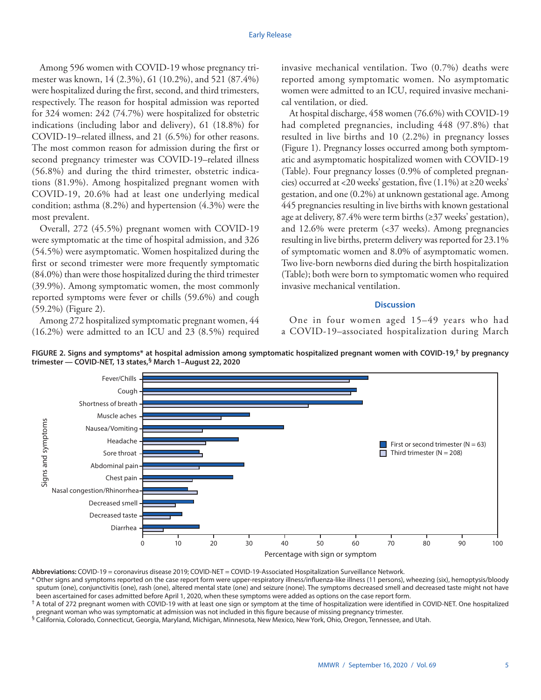Among 596 women with COVID-19 whose pregnancy trimester was known, 14 (2.3%), 61 (10.2%), and 521 (87.4%) were hospitalized during the first, second, and third trimesters, respectively. The reason for hospital admission was reported for 324 women: 242 (74.7%) were hospitalized for obstetric indications (including labor and delivery), 61 (18.8%) for COVID-19–related illness, and 21 (6.5%) for other reasons. The most common reason for admission during the first or second pregnancy trimester was COVID-19–related illness (56.8%) and during the third trimester, obstetric indications (81.9%). Among hospitalized pregnant women with COVID-19, 20.6% had at least one underlying medical condition; asthma (8.2%) and hypertension (4.3%) were the most prevalent.

Overall, 272 (45.5%) pregnant women with COVID-19 were symptomatic at the time of hospital admission, and 326 (54.5%) were asymptomatic. Women hospitalized during the first or second trimester were more frequently symptomatic (84.0%) than were those hospitalized during the third trimester (39.9%). Among symptomatic women, the most commonly reported symptoms were fever or chills (59.6%) and cough (59.2%) (Figure 2).

Among 272 hospitalized symptomatic pregnant women, 44 (16.2%) were admitted to an ICU and 23 (8.5%) required

invasive mechanical ventilation. Two (0.7%) deaths were reported among symptomatic women. No asymptomatic women were admitted to an ICU, required invasive mechanical ventilation, or died.

At hospital discharge, 458 women (76.6%) with COVID-19 had completed pregnancies, including 448 (97.8%) that resulted in live births and 10 (2.2%) in pregnancy losses (Figure 1). Pregnancy losses occurred among both symptomatic and asymptomatic hospitalized women with COVID-19 (Table). Four pregnancy losses (0.9% of completed pregnancies) occurred at <20 weeks' gestation, five  $(1.1\%)$  at  $\geq$ 20 weeks' gestation, and one (0.2%) at unknown gestational age. Among 445 pregnancies resulting in live births with known gestational age at delivery, 87.4% were term births (≥37 weeks' gestation), and 12.6% were preterm (<37 weeks). Among pregnancies resulting in live births, preterm delivery was reported for 23.1% of symptomatic women and 8.0% of asymptomatic women. Two live-born newborns died during the birth hospitalization (Table); both were born to symptomatic women who required invasive mechanical ventilation.

## **Discussion**

One in four women aged 15–49 years who had a COVID-19–associated hospitalization during March





**Abbreviations:** COVID-19 = coronavirus disease 2019; COVID-NET = COVID-19-Associated Hospitalization Surveillance Network.

\* Other signs and symptoms reported on the case report form were upper-respiratory illness/influenza-like illness (11 persons), wheezing (six), hemoptysis/bloody sputum (one), conjunctivitis (one), rash (one), altered mental state (one) and seizure (none). The symptoms decreased smell and decreased taste might not have been ascertained for cases admitted before April 1, 2020, when these symptoms were added as options on the case report form.

† A total of 272 pregnant women with COVID-19 with at least one sign or symptom at the time of hospitalization were identified in COVID-NET. One hospitalized pregnant woman who was symptomatic at admission was not included in this figure because of missing pregnancy trimester.

 $^{\circ}$  California, Colorado, Connecticut, Georgia, Maryland, Michigan, Minnesota, New Mexico, New York, Ohio, Oregon, Tennessee, and Utah.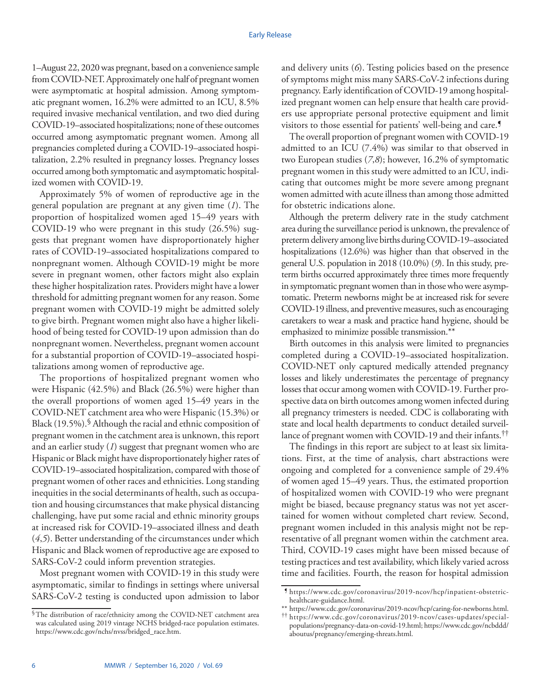1–August 22, 2020 was pregnant, based on a convenience sample from COVID-NET. Approximately one half of pregnant women were asymptomatic at hospital admission. Among symptomatic pregnant women, 16.2% were admitted to an ICU, 8.5% required invasive mechanical ventilation, and two died during COVID-19–associated hospitalizations; none of these outcomes occurred among asymptomatic pregnant women. Among all pregnancies completed during a COVID-19–associated hospitalization, 2.2% resulted in pregnancy losses. Pregnancy losses occurred among both symptomatic and asymptomatic hospitalized women with COVID-19.

Approximately 5% of women of reproductive age in the general population are pregnant at any given time (*1*). The proportion of hospitalized women aged 15–49 years with COVID-19 who were pregnant in this study (26.5%) suggests that pregnant women have disproportionately higher rates of COVID-19–associated hospitalizations compared to nonpregnant women. Although COVID-19 might be more severe in pregnant women, other factors might also explain these higher hospitalization rates. Providers might have a lower threshold for admitting pregnant women for any reason. Some pregnant women with COVID-19 might be admitted solely to give birth. Pregnant women might also have a higher likelihood of being tested for COVID-19 upon admission than do nonpregnant women. Nevertheless, pregnant women account for a substantial proportion of COVID-19–associated hospitalizations among women of reproductive age.

The proportions of hospitalized pregnant women who were Hispanic (42.5%) and Black (26.5%) were higher than the overall proportions of women aged 15–49 years in the COVID-NET catchment area who were Hispanic (15.3%) or Black (19.5%).<sup>§</sup> Although the racial and ethnic composition of pregnant women in the catchment area is unknown, this report and an earlier study (*1*) suggest that pregnant women who are Hispanic or Black might have disproportionately higher rates of COVID-19–associated hospitalization, compared with those of pregnant women of other races and ethnicities. Long standing inequities in the social determinants of health, such as occupation and housing circumstances that make physical distancing challenging, have put some racial and ethnic minority groups at increased risk for COVID-19–associated illness and death (*4*,*5*). Better understanding of the circumstances under which Hispanic and Black women of reproductive age are exposed to SARS-CoV-2 could inform prevention strategies.

Most pregnant women with COVID-19 in this study were asymptomatic, similar to findings in settings where universal SARS-CoV-2 testing is conducted upon admission to labor and delivery units (*6*). Testing policies based on the presence of symptoms might miss many SARS-CoV-2 infections during pregnancy. Early identification of COVID-19 among hospitalized pregnant women can help ensure that health care providers use appropriate personal protective equipment and limit visitors to those essential for patients' well-being and care.¶

The overall proportion of pregnant women with COVID-19 admitted to an ICU (7.4%) was similar to that observed in two European studies (*7*,*8*); however, 16.2% of symptomatic pregnant women in this study were admitted to an ICU, indicating that outcomes might be more severe among pregnant women admitted with acute illness than among those admitted for obstetric indications alone.

Although the preterm delivery rate in the study catchment area during the surveillance period is unknown, the prevalence of preterm delivery among live births during COVID-19–associated hospitalizations (12.6%) was higher than that observed in the general U.S. population in 2018 (10.0%) (*9*). In this study, preterm births occurred approximately three times more frequently in symptomatic pregnant women than in those who were asymptomatic. Preterm newborns might be at increased risk for severe COVID-19 illness, and preventive measures, such as encouraging caretakers to wear a mask and practice hand hygiene, should be emphasized to minimize possible transmission.\*\*

Birth outcomes in this analysis were limited to pregnancies completed during a COVID-19–associated hospitalization. COVID-NET only captured medically attended pregnancy losses and likely underestimates the percentage of pregnancy losses that occur among women with COVID-19. Further prospective data on birth outcomes among women infected during all pregnancy trimesters is needed. CDC is collaborating with state and local health departments to conduct detailed surveillance of pregnant women with COVID-19 and their infants.††

The findings in this report are subject to at least six limitations. First, at the time of analysis, chart abstractions were ongoing and completed for a convenience sample of 29.4% of women aged 15–49 years. Thus, the estimated proportion of hospitalized women with COVID-19 who were pregnant might be biased, because pregnancy status was not yet ascertained for women without completed chart review. Second, pregnant women included in this analysis might not be representative of all pregnant women within the catchment area. Third, COVID-19 cases might have been missed because of testing practices and test availability, which likely varied across time and facilities. Fourth, the reason for hospital admission

<sup>§</sup>The distribution of race/ethnicity among the COVID-NET catchment area was calculated using 2019 vintage NCHS bridged-race population estimates. [https://www.cdc.gov/nchs/nvss/bridged\\_race.htm.](https://www.cdc.gov/nchs/nvss/bridged_race.htm)

<sup>¶</sup> [https://www.cdc.gov/coronavirus/2019-ncov/hcp/inpatient-obstetric](https://www.cdc.gov/coronavirus/2019-ncov/hcp/inpatient-obstetric-healthcare-guidance.html)[healthcare-guidance.html.](https://www.cdc.gov/coronavirus/2019-ncov/hcp/inpatient-obstetric-healthcare-guidance.html)<br>\*\* https://www.cdc.gov/coronavirus/2019-ncov/hcp/caring-for-newborns.html.

 $^{\dagger\dagger}$  [https://www.cdc.gov/coronavirus/2019-ncov/cases-updates/special](https://www.cdc.gov/coronavirus/2019-ncov/cases-updates/special-populations/pregnancy-data-on-covid-19.html)[populations/pregnancy-data-on-covid-19.html;](https://www.cdc.gov/coronavirus/2019-ncov/cases-updates/special-populations/pregnancy-data-on-covid-19.html) [https://www.cdc.gov/ncbddd/](https://www.cdc.gov/ncbddd/aboutus/pregnancy/emerging-threats.html) [aboutus/pregnancy/emerging-threats.html.](https://www.cdc.gov/ncbddd/aboutus/pregnancy/emerging-threats.html)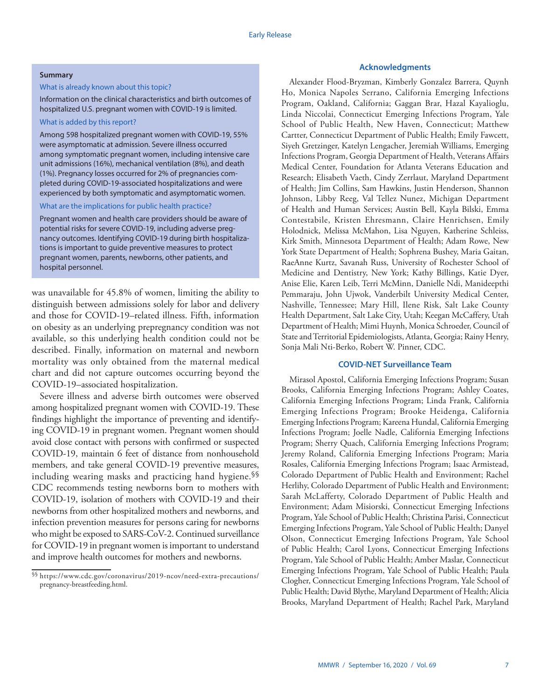#### **Summary**

## What is already known about this topic?

## Information on the clinical characteristics and birth outcomes of hospitalized U.S. pregnant women with COVID-19 is limited.

## What is added by this report?

Among 598 hospitalized pregnant women with COVID-19, 55% were asymptomatic at admission. Severe illness occurred among symptomatic pregnant women, including intensive care unit admissions (16%), mechanical ventilation (8%), and death (1%). Pregnancy losses occurred for 2% of pregnancies completed during COVID-19-associated hospitalizations and were experienced by both symptomatic and asymptomatic women.

#### What are the implications for public health practice?

Pregnant women and health care providers should be aware of potential risks for severe COVID-19, including adverse pregnancy outcomes. Identifying COVID-19 during birth hospitalizations is important to guide preventive measures to protect pregnant women, parents, newborns, other patients, and hospital personnel.

was unavailable for 45.8% of women, limiting the ability to distinguish between admissions solely for labor and delivery and those for COVID-19–related illness. Fifth, information on obesity as an underlying prepregnancy condition was not available, so this underlying health condition could not be described. Finally, information on maternal and newborn mortality was only obtained from the maternal medical chart and did not capture outcomes occurring beyond the COVID-19–associated hospitalization.

Severe illness and adverse birth outcomes were observed among hospitalized pregnant women with COVID-19. These findings highlight the importance of preventing and identifying COVID-19 in pregnant women. Pregnant women should avoid close contact with persons with confirmed or suspected COVID-19, maintain 6 feet of distance from nonhousehold members, and take general COVID-19 preventive measures, including wearing masks and practicing hand hygiene.§§ CDC recommends testing newborns born to mothers with COVID-19, isolation of mothers with COVID-19 and their newborns from other hospitalized mothers and newborns, and infection prevention measures for persons caring for newborns who might be exposed to SARS-CoV-2. Continued surveillance for COVID-19 in pregnant women is important to understand and improve health outcomes for mothers and newborns.

# **Acknowledgments**

Alexander Flood-Bryzman, Kimberly Gonzalez Barrera, Quynh Ho, Monica Napoles Serrano, California Emerging Infections Program, Oakland, California; Gaggan Brar, Hazal Kayalioglu, Linda Niccolai, Connecticut Emerging Infections Program, Yale School of Public Health, New Haven, Connecticut; Matthew Cartter, Connecticut Department of Public Health; Emily Fawcett, Siyeh Gretzinger, Katelyn Lengacher, Jeremiah Williams, Emerging Infections Program, Georgia Department of Health, Veterans Affairs Medical Center, Foundation for Atlanta Veterans Education and Research; Elisabeth Vaeth, Cindy Zerrlaut, Maryland Department of Health; Jim Collins, Sam Hawkins, Justin Henderson, Shannon Johnson, Libby Reeg, Val Tellez Nunez, Michigan Department of Health and Human Services; Austin Bell, Kayla Bilski, Emma Contestabile, Kristen Ehresmann, Claire Henrichsen, Emily Holodnick, Melissa McMahon, Lisa Nguyen, Katherine Schleiss, Kirk Smith, Minnesota Department of Health; Adam Rowe, New York State Department of Health; Sophrena Bushey, Maria Gaitan, RaeAnne Kurtz, Savanah Russ, University of Rochester School of Medicine and Dentistry, New York; Kathy Billings, Katie Dyer, Anise Elie, Karen Leib, Terri McMinn, Danielle Ndi, Manideepthi Pemmaraju, John Ujwok, Vanderbilt University Medical Center, Nashville, Tennessee; Mary Hill, Ilene Risk, Salt Lake County Health Department, Salt Lake City, Utah; Keegan McCaffery, Utah Department of Health; Mimi Huynh, Monica Schroeder, Council of State and Territorial Epidemiologists, Atlanta, Georgia; Rainy Henry, Sonja Mali Nti-Berko, Robert W. Pinner, CDC.

# **COVID-NET Surveillance Team**

Mirasol Apostol, California Emerging Infections Program; Susan Brooks, California Emerging Infections Program; Ashley Coates, California Emerging Infections Program; Linda Frank, California Emerging Infections Program; Brooke Heidenga, California Emerging Infections Program; Kareena Hundal, California Emerging Infections Program; Joelle Nadle, California Emerging Infections Program; Sherry Quach, California Emerging Infections Program; Jeremy Roland, California Emerging Infections Program; Maria Rosales, California Emerging Infections Program; Isaac Armistead, Colorado Department of Public Health and Environment; Rachel Herlihy, Colorado Department of Public Health and Environment; Sarah McLafferty, Colorado Department of Public Health and Environment; Adam Misiorski, Connecticut Emerging Infections Program, Yale School of Public Health; Christina Parisi, Connecticut Emerging Infections Program, Yale School of Public Health; Danyel Olson, Connecticut Emerging Infections Program, Yale School of Public Health; Carol Lyons, Connecticut Emerging Infections Program, Yale School of Public Health; Amber Maslar, Connecticut Emerging Infections Program, Yale School of Public Health; Paula Clogher, Connecticut Emerging Infections Program, Yale School of Public Health; David Blythe, Maryland Department of Health; Alicia Brooks, Maryland Department of Health; Rachel Park, Maryland

<sup>§§</sup> [https://www.cdc.gov/coronavirus/2019-ncov/need-extra-precautions/](https://www.cdc.gov/coronavirus/2019-ncov/need-extra-precautions/pregnancy-breastfeeding.html) [pregnancy-breastfeeding.html](https://www.cdc.gov/coronavirus/2019-ncov/need-extra-precautions/pregnancy-breastfeeding.html).